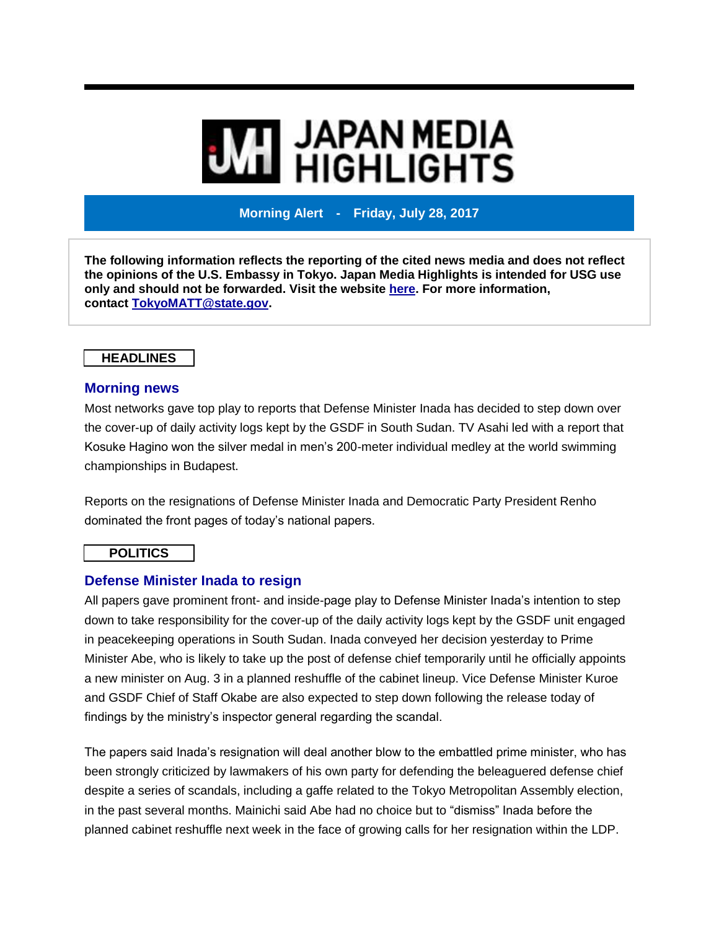# **MI JAPAN MEDIA<br>MI HIGHLIGHTS**

**Morning Alert - Friday, July 28, 2017**

**The following information reflects the reporting of the cited news media and does not reflect the opinions of the U.S. Embassy in Tokyo. Japan Media Highlights is intended for USG use only and should not be forwarded. Visit the website [here.](https://jmh.usembassy.gov/) For more information, contact [TokyoMATT@state.gov.](mailto:TokyoMATT@state.gov)**

### **HEADLINES**

### **Morning news**

Most networks gave top play to reports that Defense Minister Inada has decided to step down over the cover-up of daily activity logs kept by the GSDF in South Sudan. TV Asahi led with a report that Kosuke Hagino won the silver medal in men's 200-meter individual medley at the world swimming championships in Budapest.

Reports on the resignations of Defense Minister Inada and Democratic Party President Renho dominated the front pages of today's national papers.

### **POLITICS**

### **Defense Minister Inada to resign**

All papers gave prominent front- and inside-page play to Defense Minister Inada's intention to step down to take responsibility for the cover-up of the daily activity logs kept by the GSDF unit engaged in peacekeeping operations in South Sudan. Inada conveyed her decision yesterday to Prime Minister Abe, who is likely to take up the post of defense chief temporarily until he officially appoints a new minister on Aug. 3 in a planned reshuffle of the cabinet lineup. Vice Defense Minister Kuroe and GSDF Chief of Staff Okabe are also expected to step down following the release today of findings by the ministry's inspector general regarding the scandal.

The papers said Inada's resignation will deal another blow to the embattled prime minister, who has been strongly criticized by lawmakers of his own party for defending the beleaguered defense chief despite a series of scandals, including a gaffe related to the Tokyo Metropolitan Assembly election, in the past several months. Mainichi said Abe had no choice but to "dismiss" Inada before the planned cabinet reshuffle next week in the face of growing calls for her resignation within the LDP.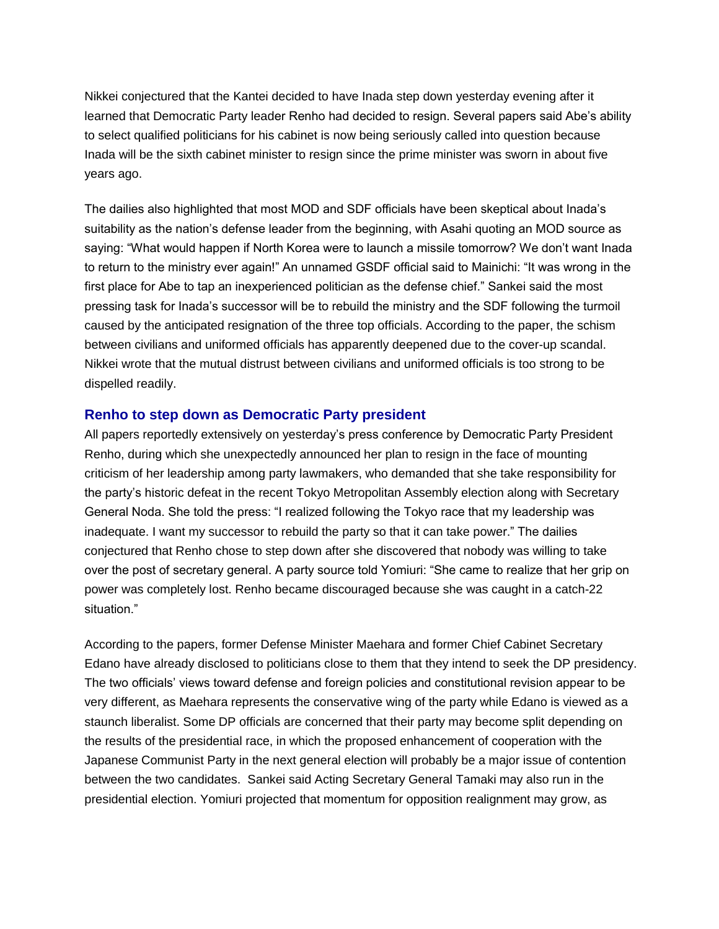Nikkei conjectured that the Kantei decided to have Inada step down yesterday evening after it learned that Democratic Party leader Renho had decided to resign. Several papers said Abe's ability to select qualified politicians for his cabinet is now being seriously called into question because Inada will be the sixth cabinet minister to resign since the prime minister was sworn in about five years ago.

The dailies also highlighted that most MOD and SDF officials have been skeptical about Inada's suitability as the nation's defense leader from the beginning, with Asahi quoting an MOD source as saying: "What would happen if North Korea were to launch a missile tomorrow? We don't want Inada to return to the ministry ever again!" An unnamed GSDF official said to Mainichi: "It was wrong in the first place for Abe to tap an inexperienced politician as the defense chief." Sankei said the most pressing task for Inada's successor will be to rebuild the ministry and the SDF following the turmoil caused by the anticipated resignation of the three top officials. According to the paper, the schism between civilians and uniformed officials has apparently deepened due to the cover-up scandal. Nikkei wrote that the mutual distrust between civilians and uniformed officials is too strong to be dispelled readily.

### **Renho to step down as Democratic Party president**

All papers reportedly extensively on yesterday's press conference by Democratic Party President Renho, during which she unexpectedly announced her plan to resign in the face of mounting criticism of her leadership among party lawmakers, who demanded that she take responsibility for the party's historic defeat in the recent Tokyo Metropolitan Assembly election along with Secretary General Noda. She told the press: "I realized following the Tokyo race that my leadership was inadequate. I want my successor to rebuild the party so that it can take power." The dailies conjectured that Renho chose to step down after she discovered that nobody was willing to take over the post of secretary general. A party source told Yomiuri: "She came to realize that her grip on power was completely lost. Renho became discouraged because she was caught in a catch-22 situation."

According to the papers, former Defense Minister Maehara and former Chief Cabinet Secretary Edano have already disclosed to politicians close to them that they intend to seek the DP presidency. The two officials' views toward defense and foreign policies and constitutional revision appear to be very different, as Maehara represents the conservative wing of the party while Edano is viewed as a staunch liberalist. Some DP officials are concerned that their party may become split depending on the results of the presidential race, in which the proposed enhancement of cooperation with the Japanese Communist Party in the next general election will probably be a major issue of contention between the two candidates. Sankei said Acting Secretary General Tamaki may also run in the presidential election. Yomiuri projected that momentum for opposition realignment may grow, as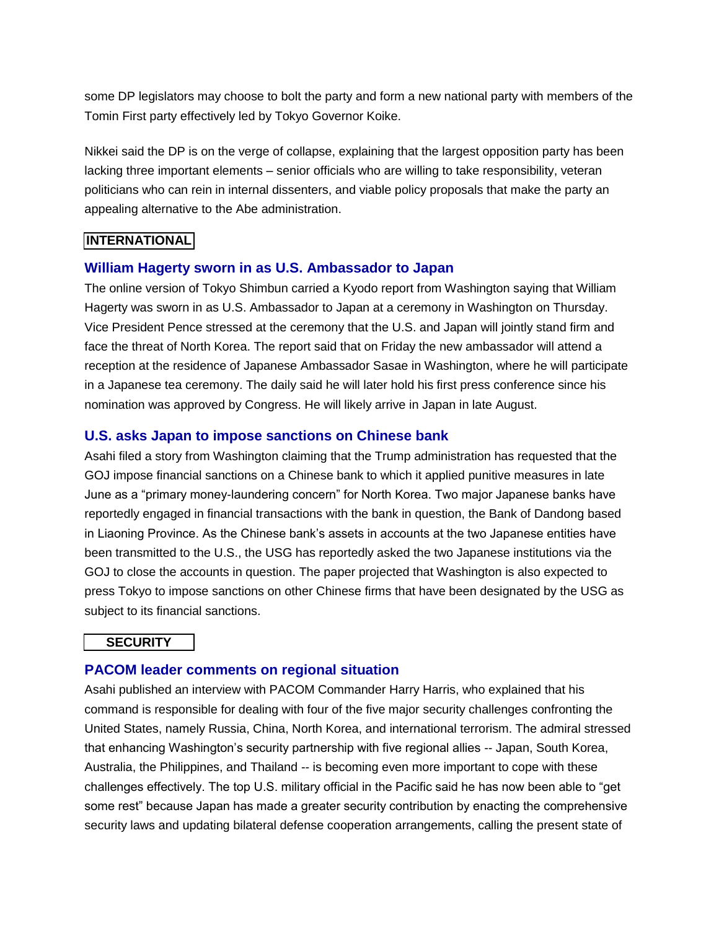some DP legislators may choose to bolt the party and form a new national party with members of the Tomin First party effectively led by Tokyo Governor Koike.

Nikkei said the DP is on the verge of collapse, explaining that the largest opposition party has been lacking three important elements – senior officials who are willing to take responsibility, veteran politicians who can rein in internal dissenters, and viable policy proposals that make the party an appealing alternative to the Abe administration.

# **INTERNATIONAL**

# **William Hagerty sworn in as U.S. Ambassador to Japan**

The online version of Tokyo Shimbun carried a Kyodo report from Washington saying that William Hagerty was sworn in as U.S. Ambassador to Japan at a ceremony in Washington on Thursday. Vice President Pence stressed at the ceremony that the U.S. and Japan will jointly stand firm and face the threat of North Korea. The report said that on Friday the new ambassador will attend a reception at the residence of Japanese Ambassador Sasae in Washington, where he will participate in a Japanese tea ceremony. The daily said he will later hold his first press conference since his nomination was approved by Congress. He will likely arrive in Japan in late August.

# **U.S. asks Japan to impose sanctions on Chinese bank**

Asahi filed a story from Washington claiming that the Trump administration has requested that the GOJ impose financial sanctions on a Chinese bank to which it applied punitive measures in late June as a "primary money-laundering concern" for North Korea. Two major Japanese banks have reportedly engaged in financial transactions with the bank in question, the Bank of Dandong based in Liaoning Province. As the Chinese bank's assets in accounts at the two Japanese entities have been transmitted to the U.S., the USG has reportedly asked the two Japanese institutions via the GOJ to close the accounts in question. The paper projected that Washington is also expected to press Tokyo to impose sanctions on other Chinese firms that have been designated by the USG as subject to its financial sanctions.

# **SECURITY**

# **PACOM leader comments on regional situation**

Asahi published an interview with PACOM Commander Harry Harris, who explained that his command is responsible for dealing with four of the five major security challenges confronting the United States, namely Russia, China, North Korea, and international terrorism. The admiral stressed that enhancing Washington's security partnership with five regional allies -- Japan, South Korea, Australia, the Philippines, and Thailand -- is becoming even more important to cope with these challenges effectively. The top U.S. military official in the Pacific said he has now been able to "get some rest" because Japan has made a greater security contribution by enacting the comprehensive security laws and updating bilateral defense cooperation arrangements, calling the present state of